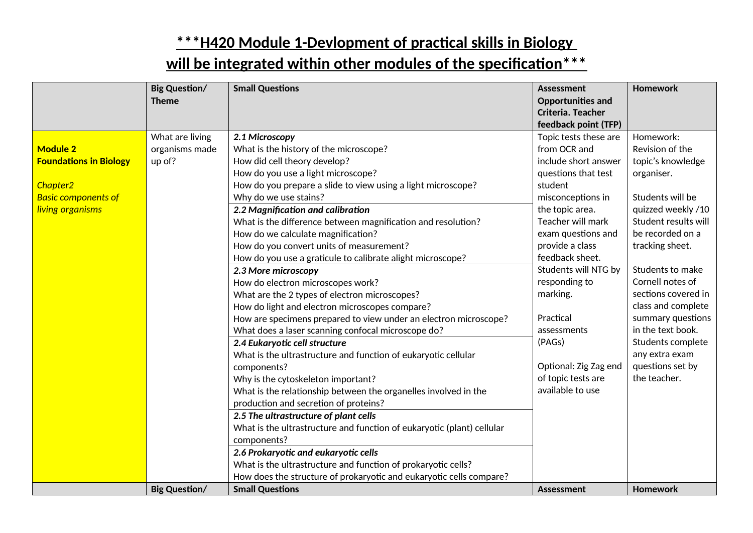|                                                                                                                            | <b>Big Question/</b><br><b>Theme</b>        | <b>Small Questions</b>                                                                                                                                                                                                                                                                                                                                                                                                                                                                                                                                                                                                                                                                                                                                                                                                                                                                                                                                                                                                                                                                                                                                                                                                                                                               | <b>Assessment</b><br><b>Opportunities and</b><br>Criteria. Teacher<br>feedback point (TFP)                                                                                                                                                                                                                                                                                             | <b>Homework</b>                                                                                                                                                                                                                                                                                                                                                                    |
|----------------------------------------------------------------------------------------------------------------------------|---------------------------------------------|--------------------------------------------------------------------------------------------------------------------------------------------------------------------------------------------------------------------------------------------------------------------------------------------------------------------------------------------------------------------------------------------------------------------------------------------------------------------------------------------------------------------------------------------------------------------------------------------------------------------------------------------------------------------------------------------------------------------------------------------------------------------------------------------------------------------------------------------------------------------------------------------------------------------------------------------------------------------------------------------------------------------------------------------------------------------------------------------------------------------------------------------------------------------------------------------------------------------------------------------------------------------------------------|----------------------------------------------------------------------------------------------------------------------------------------------------------------------------------------------------------------------------------------------------------------------------------------------------------------------------------------------------------------------------------------|------------------------------------------------------------------------------------------------------------------------------------------------------------------------------------------------------------------------------------------------------------------------------------------------------------------------------------------------------------------------------------|
| <b>Module 2</b><br><b>Foundations in Biology</b><br>Chapter <sub>2</sub><br><b>Basic components of</b><br>living organisms | What are living<br>organisms made<br>up of? | 2.1 Microscopy<br>What is the history of the microscope?<br>How did cell theory develop?<br>How do you use a light microscope?<br>How do you prepare a slide to view using a light microscope?<br>Why do we use stains?<br>2.2 Magnification and calibration<br>What is the difference between magnification and resolution?<br>How do we calculate magnification?<br>How do you convert units of measurement?<br>How do you use a graticule to calibrate alight microscope?<br>2.3 More microscopy<br>How do electron microscopes work?<br>What are the 2 types of electron microscopes?<br>How do light and electron microscopes compare?<br>How are specimens prepared to view under an electron microscope?<br>What does a laser scanning confocal microscope do?<br>2.4 Eukaryotic cell structure<br>What is the ultrastructure and function of eukaryotic cellular<br>components?<br>Why is the cytoskeleton important?<br>What is the relationship between the organelles involved in the<br>production and secretion of proteins?<br>2.5 The ultrastructure of plant cells<br>What is the ultrastructure and function of eukaryotic (plant) cellular<br>components?<br>2.6 Prokaryotic and eukaryotic cells<br>What is the ultrastructure and function of prokaryotic cells? | Topic tests these are<br>from OCR and<br>include short answer<br>questions that test<br>student<br>misconceptions in<br>the topic area.<br>Teacher will mark<br>exam questions and<br>provide a class<br>feedback sheet.<br>Students will NTG by<br>responding to<br>marking.<br>Practical<br>assessments<br>(PAGs)<br>Optional: Zig Zag end<br>of topic tests are<br>available to use | Homework:<br>Revision of the<br>topic's knowledge<br>organiser.<br>Students will be<br>quizzed weekly /10<br>Student results will<br>be recorded on a<br>tracking sheet.<br>Students to make<br>Cornell notes of<br>sections covered in<br>class and complete<br>summary questions<br>in the text book.<br>Students complete<br>any extra exam<br>questions set by<br>the teacher. |
|                                                                                                                            | <b>Big Question/</b>                        | How does the structure of prokaryotic and eukaryotic cells compare?<br><b>Small Questions</b>                                                                                                                                                                                                                                                                                                                                                                                                                                                                                                                                                                                                                                                                                                                                                                                                                                                                                                                                                                                                                                                                                                                                                                                        | <b>Assessment</b>                                                                                                                                                                                                                                                                                                                                                                      | Homework                                                                                                                                                                                                                                                                                                                                                                           |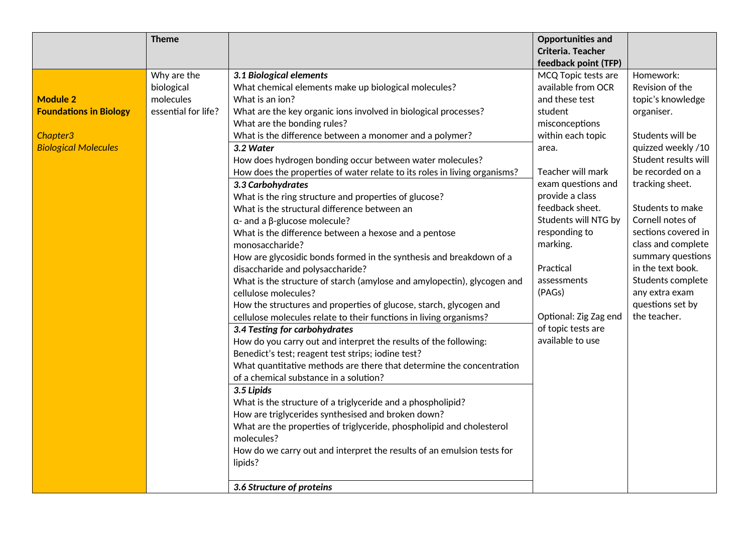|                               | <b>Theme</b>        |                                                                           | <b>Opportunities and</b> |                      |
|-------------------------------|---------------------|---------------------------------------------------------------------------|--------------------------|----------------------|
|                               |                     |                                                                           | Criteria. Teacher        |                      |
|                               |                     |                                                                           | feedback point (TFP)     |                      |
|                               | Why are the         | 3.1 Biological elements                                                   | MCQ Topic tests are      | Homework:            |
|                               | biological          | What chemical elements make up biological molecules?                      | available from OCR       | Revision of the      |
| <b>Module 2</b>               | molecules           | What is an ion?                                                           | and these test           | topic's knowledge    |
| <b>Foundations in Biology</b> | essential for life? | What are the key organic ions involved in biological processes?           | student                  | organiser.           |
|                               |                     | What are the bonding rules?                                               | misconceptions           |                      |
| Chapter3                      |                     | What is the difference between a monomer and a polymer?                   | within each topic        | Students will be     |
| <b>Biological Molecules</b>   |                     | 3.2 Water                                                                 | area.                    | quizzed weekly /10   |
|                               |                     | How does hydrogen bonding occur between water molecules?                  |                          | Student results will |
|                               |                     | How does the properties of water relate to its roles in living organisms? | Teacher will mark        | be recorded on a     |
|                               |                     | 3.3 Carbohydrates                                                         | exam questions and       | tracking sheet.      |
|                               |                     | What is the ring structure and properties of glucose?                     | provide a class          |                      |
|                               |                     | What is the structural difference between an                              | feedback sheet.          | Students to make     |
|                               |                     | $\alpha$ - and a $\beta$ -glucose molecule?                               | Students will NTG by     | Cornell notes of     |
|                               |                     | What is the difference between a hexose and a pentose                     | responding to            | sections covered in  |
|                               |                     | monosaccharide?                                                           | marking.                 | class and complete   |
|                               |                     | How are glycosidic bonds formed in the synthesis and breakdown of a       |                          | summary questions    |
|                               |                     | disaccharide and polysaccharide?                                          | Practical                | in the text book.    |
|                               |                     | What is the structure of starch (amylose and amylopectin), glycogen and   | assessments              | Students complete    |
|                               |                     | cellulose molecules?                                                      | (PAGs)                   | any extra exam       |
|                               |                     | How the structures and properties of glucose, starch, glycogen and        |                          | questions set by     |
|                               |                     | cellulose molecules relate to their functions in living organisms?        | Optional: Zig Zag end    | the teacher.         |
|                               |                     | 3.4 Testing for carbohydrates                                             | of topic tests are       |                      |
|                               |                     | How do you carry out and interpret the results of the following:          | available to use         |                      |
|                               |                     | Benedict's test; reagent test strips; iodine test?                        |                          |                      |
|                               |                     | What quantitative methods are there that determine the concentration      |                          |                      |
|                               |                     | of a chemical substance in a solution?                                    |                          |                      |
|                               |                     | 3.5 Lipids                                                                |                          |                      |
|                               |                     | What is the structure of a triglyceride and a phospholipid?               |                          |                      |
|                               |                     | How are triglycerides synthesised and broken down?                        |                          |                      |
|                               |                     | What are the properties of triglyceride, phospholipid and cholesterol     |                          |                      |
|                               |                     | molecules?                                                                |                          |                      |
|                               |                     | How do we carry out and interpret the results of an emulsion tests for    |                          |                      |
|                               |                     | lipids?                                                                   |                          |                      |
|                               |                     |                                                                           |                          |                      |
|                               |                     | 3.6 Structure of proteins                                                 |                          |                      |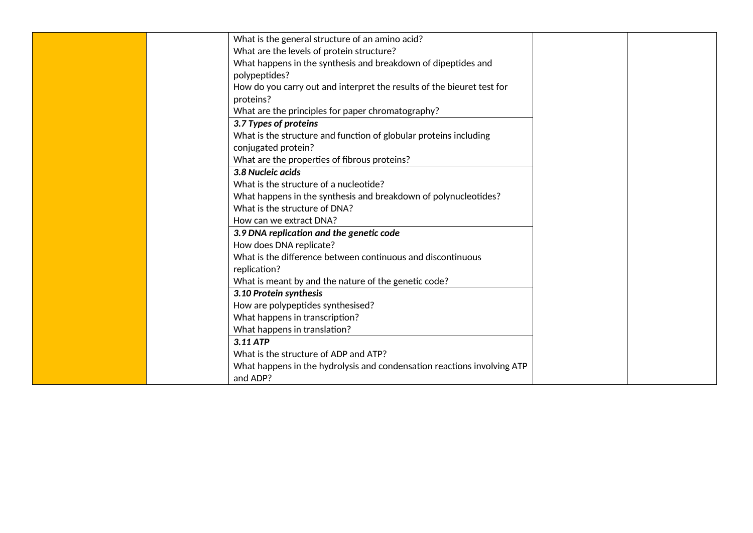| What is the general structure of an amino acid?                         |  |  |  |  |  |
|-------------------------------------------------------------------------|--|--|--|--|--|
| What are the levels of protein structure?                               |  |  |  |  |  |
| What happens in the synthesis and breakdown of dipeptides and           |  |  |  |  |  |
| polypeptides?                                                           |  |  |  |  |  |
| How do you carry out and interpret the results of the bieuret test for  |  |  |  |  |  |
| proteins?                                                               |  |  |  |  |  |
| What are the principles for paper chromatography?                       |  |  |  |  |  |
| 3.7 Types of proteins                                                   |  |  |  |  |  |
| What is the structure and function of globular proteins including       |  |  |  |  |  |
| conjugated protein?                                                     |  |  |  |  |  |
| What are the properties of fibrous proteins?                            |  |  |  |  |  |
| 3.8 Nucleic acids                                                       |  |  |  |  |  |
| What is the structure of a nucleotide?                                  |  |  |  |  |  |
| What happens in the synthesis and breakdown of polynucleotides?         |  |  |  |  |  |
| What is the structure of DNA?                                           |  |  |  |  |  |
| How can we extract DNA?                                                 |  |  |  |  |  |
| 3.9 DNA replication and the genetic code                                |  |  |  |  |  |
| How does DNA replicate?                                                 |  |  |  |  |  |
| What is the difference between continuous and discontinuous             |  |  |  |  |  |
| replication?                                                            |  |  |  |  |  |
| What is meant by and the nature of the genetic code?                    |  |  |  |  |  |
| 3.10 Protein synthesis                                                  |  |  |  |  |  |
| How are polypeptides synthesised?                                       |  |  |  |  |  |
| What happens in transcription?                                          |  |  |  |  |  |
| What happens in translation?                                            |  |  |  |  |  |
| 3.11 ATP                                                                |  |  |  |  |  |
| What is the structure of ADP and ATP?                                   |  |  |  |  |  |
| What happens in the hydrolysis and condensation reactions involving ATP |  |  |  |  |  |
| and ADP?                                                                |  |  |  |  |  |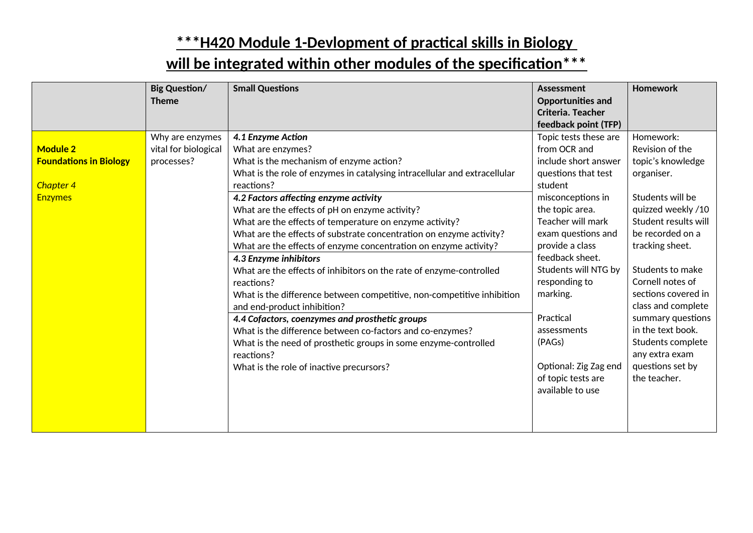|                                                                                        | <b>Big Question/</b><br><b>Theme</b>                  | <b>Small Questions</b>                                                                                                                                                                                                                                                                                                                                                                                                                                                                                                                                                                                                                                                                                                                                                                                                                                                                                                                           | <b>Assessment</b><br><b>Opportunities and</b><br>Criteria. Teacher<br>feedback point (TFP)                                                                                                                                                                                                                                                                                             | <b>Homework</b>                                                                                                                                                                                                                                                                                                                                                                    |
|----------------------------------------------------------------------------------------|-------------------------------------------------------|--------------------------------------------------------------------------------------------------------------------------------------------------------------------------------------------------------------------------------------------------------------------------------------------------------------------------------------------------------------------------------------------------------------------------------------------------------------------------------------------------------------------------------------------------------------------------------------------------------------------------------------------------------------------------------------------------------------------------------------------------------------------------------------------------------------------------------------------------------------------------------------------------------------------------------------------------|----------------------------------------------------------------------------------------------------------------------------------------------------------------------------------------------------------------------------------------------------------------------------------------------------------------------------------------------------------------------------------------|------------------------------------------------------------------------------------------------------------------------------------------------------------------------------------------------------------------------------------------------------------------------------------------------------------------------------------------------------------------------------------|
| <b>Module 2</b><br><b>Foundations in Biology</b><br><b>Chapter 4</b><br><b>Enzymes</b> | Why are enzymes<br>vital for biological<br>processes? | 4.1 Enzyme Action<br>What are enzymes?<br>What is the mechanism of enzyme action?<br>What is the role of enzymes in catalysing intracellular and extracellular<br>reactions?<br>4.2 Factors affecting enzyme activity<br>What are the effects of pH on enzyme activity?<br>What are the effects of temperature on enzyme activity?<br>What are the effects of substrate concentration on enzyme activity?<br>What are the effects of enzyme concentration on enzyme activity?<br>4.3 Enzyme inhibitors<br>What are the effects of inhibitors on the rate of enzyme-controlled<br>reactions?<br>What is the difference between competitive, non-competitive inhibition<br>and end-product inhibition?<br>4.4 Cofactors, coenzymes and prosthetic groups<br>What is the difference between co-factors and co-enzymes?<br>What is the need of prosthetic groups in some enzyme-controlled<br>reactions?<br>What is the role of inactive precursors? | Topic tests these are<br>from OCR and<br>include short answer<br>questions that test<br>student<br>misconceptions in<br>the topic area.<br>Teacher will mark<br>exam questions and<br>provide a class<br>feedback sheet.<br>Students will NTG by<br>responding to<br>marking.<br>Practical<br>assessments<br>(PAGs)<br>Optional: Zig Zag end<br>of topic tests are<br>available to use | Homework:<br>Revision of the<br>topic's knowledge<br>organiser.<br>Students will be<br>quizzed weekly /10<br>Student results will<br>be recorded on a<br>tracking sheet.<br>Students to make<br>Cornell notes of<br>sections covered in<br>class and complete<br>summary questions<br>in the text book.<br>Students complete<br>any extra exam<br>questions set by<br>the teacher. |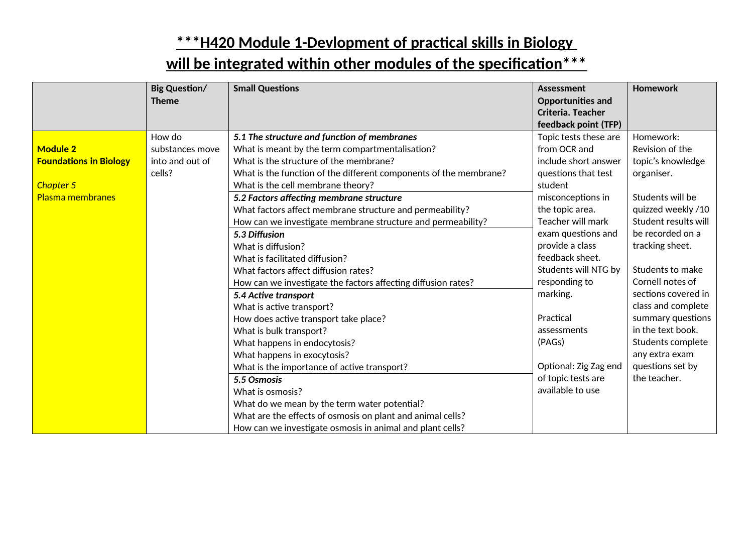|                               | <b>Big Question/</b><br><b>Theme</b> | <b>Small Questions</b>                                            | <b>Assessment</b><br><b>Opportunities and</b><br>Criteria. Teacher | <b>Homework</b>      |
|-------------------------------|--------------------------------------|-------------------------------------------------------------------|--------------------------------------------------------------------|----------------------|
|                               |                                      |                                                                   | feedback point (TFP)                                               |                      |
|                               | How do                               | 5.1 The structure and function of membranes                       | Topic tests these are                                              | Homework:            |
| <b>Module 2</b>               | substances move                      | What is meant by the term compartmentalisation?                   | from OCR and                                                       | Revision of the      |
| <b>Foundations in Biology</b> | into and out of                      | What is the structure of the membrane?                            | include short answer                                               | topic's knowledge    |
|                               | cells?                               | What is the function of the different components of the membrane? | questions that test                                                | organiser.           |
| Chapter 5                     |                                      | What is the cell membrane theory?                                 | student                                                            |                      |
| Plasma membranes              |                                      | 5.2 Factors affecting membrane structure                          | misconceptions in                                                  | Students will be     |
|                               |                                      | What factors affect membrane structure and permeability?          | the topic area.                                                    | quizzed weekly /10   |
|                               |                                      | How can we investigate membrane structure and permeability?       | Teacher will mark                                                  | Student results will |
|                               |                                      | 5.3 Diffusion                                                     | exam questions and                                                 | be recorded on a     |
|                               |                                      | What is diffusion?                                                | provide a class                                                    | tracking sheet.      |
|                               |                                      | What is facilitated diffusion?                                    | feedback sheet.                                                    |                      |
|                               |                                      | What factors affect diffusion rates?                              | Students will NTG by                                               | Students to make     |
|                               |                                      | How can we investigate the factors affecting diffusion rates?     | responding to                                                      | Cornell notes of     |
|                               |                                      | 5.4 Active transport                                              | marking.                                                           | sections covered in  |
|                               |                                      | What is active transport?                                         |                                                                    | class and complete   |
|                               |                                      | How does active transport take place?                             | Practical                                                          | summary questions    |
|                               |                                      | What is bulk transport?                                           | assessments                                                        | in the text book.    |
|                               |                                      | What happens in endocytosis?                                      | (PAGs)                                                             | Students complete    |
|                               |                                      | What happens in exocytosis?                                       |                                                                    | any extra exam       |
|                               |                                      | What is the importance of active transport?                       | Optional: Zig Zag end                                              | questions set by     |
|                               |                                      | 5.5 Osmosis                                                       | of topic tests are                                                 | the teacher.         |
|                               |                                      | What is osmosis?                                                  | available to use                                                   |                      |
|                               |                                      | What do we mean by the term water potential?                      |                                                                    |                      |
|                               |                                      | What are the effects of osmosis on plant and animal cells?        |                                                                    |                      |
|                               |                                      | How can we investigate osmosis in animal and plant cells?         |                                                                    |                      |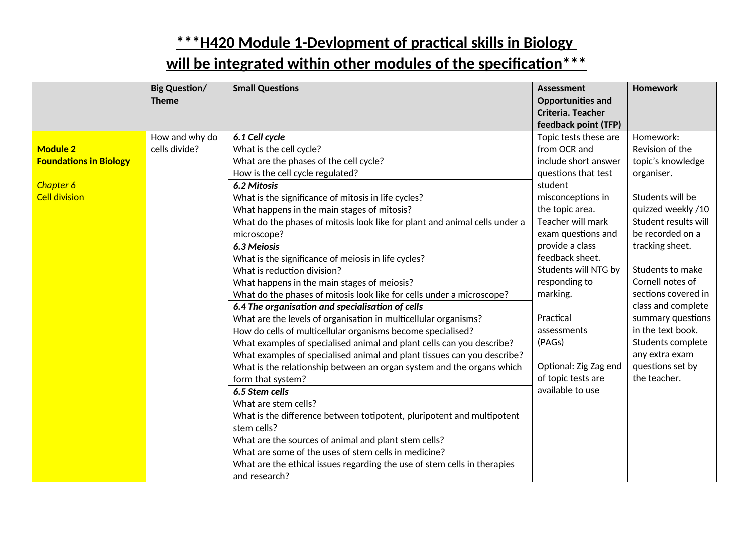|                               | <b>Big Question/</b><br><b>Theme</b> | <b>Small Questions</b>                                                     | <b>Assessment</b><br><b>Opportunities and</b> | <b>Homework</b>      |
|-------------------------------|--------------------------------------|----------------------------------------------------------------------------|-----------------------------------------------|----------------------|
|                               |                                      |                                                                            | Criteria. Teacher<br>feedback point (TFP)     |                      |
|                               | How and why do                       | 6.1 Cell cycle                                                             | Topic tests these are                         | Homework:            |
| <b>Module 2</b>               | cells divide?                        | What is the cell cycle?                                                    | from OCR and                                  | Revision of the      |
| <b>Foundations in Biology</b> |                                      | What are the phases of the cell cycle?                                     | include short answer                          | topic's knowledge    |
|                               |                                      | How is the cell cycle regulated?                                           | questions that test                           | organiser.           |
| Chapter 6                     |                                      | 6.2 Mitosis                                                                | student                                       |                      |
| <b>Cell division</b>          |                                      | What is the significance of mitosis in life cycles?                        | misconceptions in                             | Students will be     |
|                               |                                      | What happens in the main stages of mitosis?                                | the topic area.                               | quizzed weekly /10   |
|                               |                                      | What do the phases of mitosis look like for plant and animal cells under a | Teacher will mark                             | Student results will |
|                               |                                      | microscope?                                                                | exam questions and                            | be recorded on a     |
|                               |                                      | 6.3 Meiosis                                                                | provide a class                               | tracking sheet.      |
|                               |                                      | What is the significance of meiosis in life cycles?                        | feedback sheet.                               |                      |
|                               |                                      | What is reduction division?                                                | Students will NTG by                          | Students to make     |
|                               |                                      | What happens in the main stages of meiosis?                                | responding to                                 | Cornell notes of     |
|                               |                                      | What do the phases of mitosis look like for cells under a microscope?      | marking.                                      | sections covered in  |
|                               |                                      | 6.4 The organisation and specialisation of cells                           |                                               | class and complete   |
|                               |                                      | What are the levels of organisation in multicellular organisms?            | Practical                                     | summary questions    |
|                               |                                      | How do cells of multicellular organisms become specialised?                | assessments                                   | in the text book.    |
|                               |                                      | What examples of specialised animal and plant cells can you describe?      | (PAGs)                                        | Students complete    |
|                               |                                      | What examples of specialised animal and plant tissues can you describe?    |                                               | any extra exam       |
|                               |                                      | What is the relationship between an organ system and the organs which      | Optional: Zig Zag end                         | questions set by     |
|                               |                                      | form that system?                                                          | of topic tests are                            | the teacher.         |
|                               |                                      | 6.5 Stem cells                                                             | available to use                              |                      |
|                               |                                      | What are stem cells?                                                       |                                               |                      |
|                               |                                      | What is the difference between totipotent, pluripotent and multipotent     |                                               |                      |
|                               |                                      | stem cells?                                                                |                                               |                      |
|                               |                                      | What are the sources of animal and plant stem cells?                       |                                               |                      |
|                               |                                      | What are some of the uses of stem cells in medicine?                       |                                               |                      |
|                               |                                      | What are the ethical issues regarding the use of stem cells in therapies   |                                               |                      |
|                               |                                      | and research?                                                              |                                               |                      |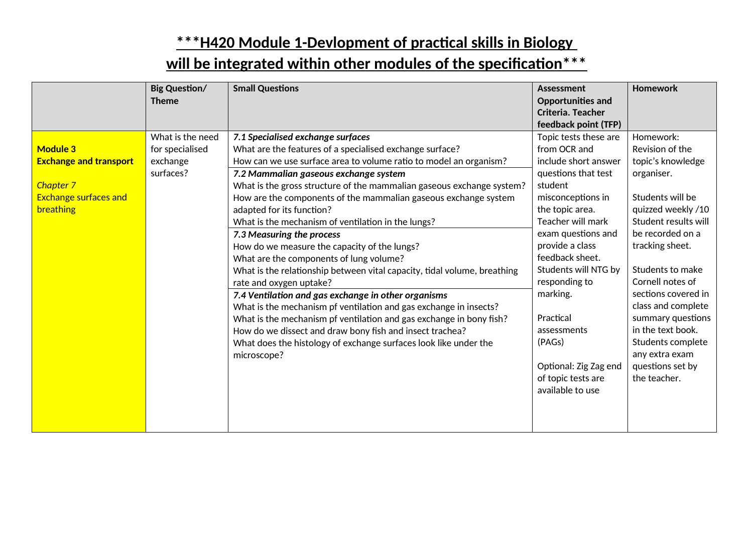|                                                                                                            | <b>Big Question/</b><br><b>Theme</b>                         | <b>Small Questions</b>                                                                                                                                                                                                                                                                                                                                                                                                                                                                                                                                                                                                                                                                                                                                                                                                                                                                                                                                                                                                      | <b>Assessment</b><br><b>Opportunities and</b><br>Criteria. Teacher<br>feedback point (TFP)                                                                                                                                                                                                                                                                                             | <b>Homework</b>                                                                                                                                                                                                                                                                                                                                                                    |
|------------------------------------------------------------------------------------------------------------|--------------------------------------------------------------|-----------------------------------------------------------------------------------------------------------------------------------------------------------------------------------------------------------------------------------------------------------------------------------------------------------------------------------------------------------------------------------------------------------------------------------------------------------------------------------------------------------------------------------------------------------------------------------------------------------------------------------------------------------------------------------------------------------------------------------------------------------------------------------------------------------------------------------------------------------------------------------------------------------------------------------------------------------------------------------------------------------------------------|----------------------------------------------------------------------------------------------------------------------------------------------------------------------------------------------------------------------------------------------------------------------------------------------------------------------------------------------------------------------------------------|------------------------------------------------------------------------------------------------------------------------------------------------------------------------------------------------------------------------------------------------------------------------------------------------------------------------------------------------------------------------------------|
| <b>Module 3</b><br><b>Exchange and transport</b><br>Chapter 7<br><b>Exchange surfaces and</b><br>breathing | What is the need<br>for specialised<br>exchange<br>surfaces? | 7.1 Specialised exchange surfaces<br>What are the features of a specialised exchange surface?<br>How can we use surface area to volume ratio to model an organism?<br>7.2 Mammalian gaseous exchange system<br>What is the gross structure of the mammalian gaseous exchange system?<br>How are the components of the mammalian gaseous exchange system<br>adapted for its function?<br>What is the mechanism of ventilation in the lungs?<br>7.3 Measuring the process<br>How do we measure the capacity of the lungs?<br>What are the components of lung volume?<br>What is the relationship between vital capacity, tidal volume, breathing<br>rate and oxygen uptake?<br>7.4 Ventilation and gas exchange in other organisms<br>What is the mechanism pf ventilation and gas exchange in insects?<br>What is the mechanism pf ventilation and gas exchange in bony fish?<br>How do we dissect and draw bony fish and insect trachea?<br>What does the histology of exchange surfaces look like under the<br>microscope? | Topic tests these are<br>from OCR and<br>include short answer<br>questions that test<br>student<br>misconceptions in<br>the topic area.<br>Teacher will mark<br>exam questions and<br>provide a class<br>feedback sheet.<br>Students will NTG by<br>responding to<br>marking.<br>Practical<br>assessments<br>(PAGs)<br>Optional: Zig Zag end<br>of topic tests are<br>available to use | Homework:<br>Revision of the<br>topic's knowledge<br>organiser.<br>Students will be<br>quizzed weekly /10<br>Student results will<br>be recorded on a<br>tracking sheet.<br>Students to make<br>Cornell notes of<br>sections covered in<br>class and complete<br>summary questions<br>in the text book.<br>Students complete<br>any extra exam<br>questions set by<br>the teacher. |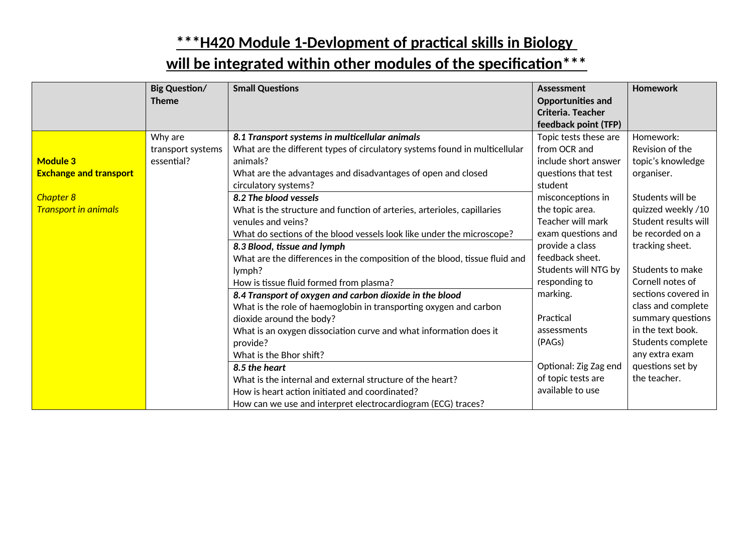|                               | <b>Big Question/</b> | <b>Small Questions</b>                                                     | Assessment               | Homework             |
|-------------------------------|----------------------|----------------------------------------------------------------------------|--------------------------|----------------------|
|                               | <b>Theme</b>         |                                                                            | <b>Opportunities and</b> |                      |
|                               |                      |                                                                            | Criteria. Teacher        |                      |
|                               |                      |                                                                            | feedback point (TFP)     |                      |
|                               | Why are              | 8.1 Transport systems in multicellular animals                             | Topic tests these are    | Homework:            |
|                               | transport systems    | What are the different types of circulatory systems found in multicellular | from OCR and             | Revision of the      |
| <b>Module 3</b>               | essential?           | animals?                                                                   | include short answer     | topic's knowledge    |
| <b>Exchange and transport</b> |                      | What are the advantages and disadvantages of open and closed               | questions that test      | organiser.           |
|                               |                      | circulatory systems?                                                       | student                  |                      |
| <b>Chapter 8</b>              |                      | 8.2 The blood vessels                                                      | misconceptions in        | Students will be     |
| <b>Transport in animals</b>   |                      | What is the structure and function of arteries, arterioles, capillaries    | the topic area.          | quizzed weekly /10   |
|                               |                      | venules and veins?                                                         | Teacher will mark        | Student results will |
|                               |                      | What do sections of the blood vessels look like under the microscope?      | exam questions and       | be recorded on a     |
|                               |                      | 8.3 Blood, tissue and lymph                                                | provide a class          | tracking sheet.      |
|                               |                      | What are the differences in the composition of the blood, tissue fluid and | feedback sheet.          |                      |
|                               |                      | lymph?                                                                     | Students will NTG by     | Students to make     |
|                               |                      | How is tissue fluid formed from plasma?                                    | responding to            | Cornell notes of     |
|                               |                      | 8.4 Transport of oxygen and carbon dioxide in the blood                    | marking.                 | sections covered in  |
|                               |                      | What is the role of haemoglobin in transporting oxygen and carbon          |                          | class and complete   |
|                               |                      | dioxide around the body?                                                   | Practical                | summary questions    |
|                               |                      | What is an oxygen dissociation curve and what information does it          | assessments              | in the text book.    |
|                               |                      | provide?                                                                   | (PAGs)                   | Students complete    |
|                               |                      | What is the Bhor shift?                                                    |                          | any extra exam       |
|                               |                      | 8.5 the heart                                                              | Optional: Zig Zag end    | questions set by     |
|                               |                      | What is the internal and external structure of the heart?                  | of topic tests are       | the teacher.         |
|                               |                      | How is heart action initiated and coordinated?                             | available to use         |                      |
|                               |                      | How can we use and interpret electrocardiogram (ECG) traces?               |                          |                      |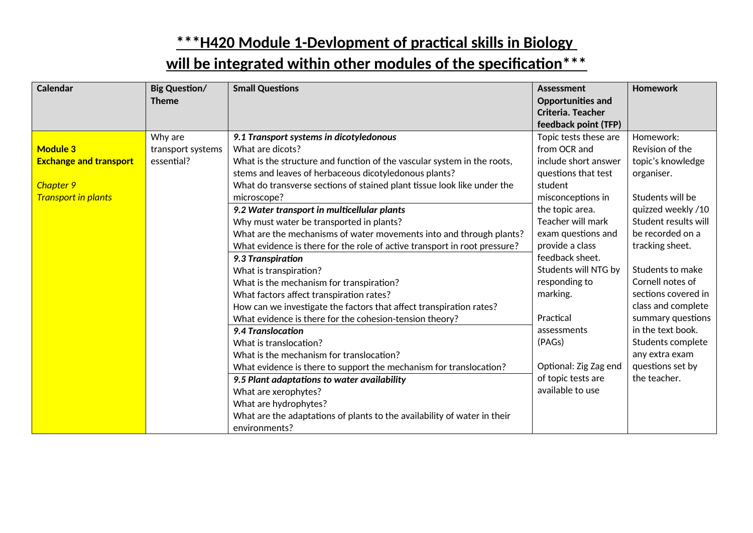| <b>Calendar</b>                                                                             | <b>Big Question/</b><br><b>Theme</b>       | <b>Small Questions</b>                                                                                                                                                                                                                                                                                                                                                                                                                                                                                                                                                                                                                                                                                                                                                                                                                                                                                                                                                                                                                                                                                                                                                          | <b>Assessment</b><br><b>Opportunities and</b><br>Criteria. Teacher                                                                                                                                                                                                                                                                                                                                             | <b>Homework</b>                                                                                                                                                                                                                                                                                                                                                                    |
|---------------------------------------------------------------------------------------------|--------------------------------------------|---------------------------------------------------------------------------------------------------------------------------------------------------------------------------------------------------------------------------------------------------------------------------------------------------------------------------------------------------------------------------------------------------------------------------------------------------------------------------------------------------------------------------------------------------------------------------------------------------------------------------------------------------------------------------------------------------------------------------------------------------------------------------------------------------------------------------------------------------------------------------------------------------------------------------------------------------------------------------------------------------------------------------------------------------------------------------------------------------------------------------------------------------------------------------------|----------------------------------------------------------------------------------------------------------------------------------------------------------------------------------------------------------------------------------------------------------------------------------------------------------------------------------------------------------------------------------------------------------------|------------------------------------------------------------------------------------------------------------------------------------------------------------------------------------------------------------------------------------------------------------------------------------------------------------------------------------------------------------------------------------|
| <b>Module 3</b><br><b>Exchange and transport</b><br>Chapter 9<br><b>Transport in plants</b> | Why are<br>transport systems<br>essential? | 9.1 Transport systems in dicotyledonous<br>What are dicots?<br>What is the structure and function of the vascular system in the roots,<br>stems and leaves of herbaceous dicotyledonous plants?<br>What do transverse sections of stained plant tissue look like under the<br>microscope?<br>9.2 Water transport in multicellular plants<br>Why must water be transported in plants?<br>What are the mechanisms of water movements into and through plants?<br>What evidence is there for the role of active transport in root pressure?<br>9.3 Transpiration<br>What is transpiration?<br>What is the mechanism for transpiration?<br>What factors affect transpiration rates?<br>How can we investigate the factors that affect transpiration rates?<br>What evidence is there for the cohesion-tension theory?<br>9.4 Translocation<br>What is translocation?<br>What is the mechanism for translocation?<br>What evidence is there to support the mechanism for translocation?<br>9.5 Plant adaptations to water availability<br>What are xerophytes?<br>What are hydrophytes?<br>What are the adaptations of plants to the availability of water in their<br>environments? | feedback point (TFP)<br>Topic tests these are<br>from OCR and<br>include short answer<br>questions that test<br>student<br>misconceptions in<br>the topic area.<br>Teacher will mark<br>exam questions and<br>provide a class<br>feedback sheet.<br>Students will NTG by<br>responding to<br>marking.<br>Practical<br>assessments<br>(PAGs)<br>Optional: Zig Zag end<br>of topic tests are<br>available to use | Homework:<br>Revision of the<br>topic's knowledge<br>organiser.<br>Students will be<br>quizzed weekly /10<br>Student results will<br>be recorded on a<br>tracking sheet.<br>Students to make<br>Cornell notes of<br>sections covered in<br>class and complete<br>summary questions<br>in the text book.<br>Students complete<br>any extra exam<br>questions set by<br>the teacher. |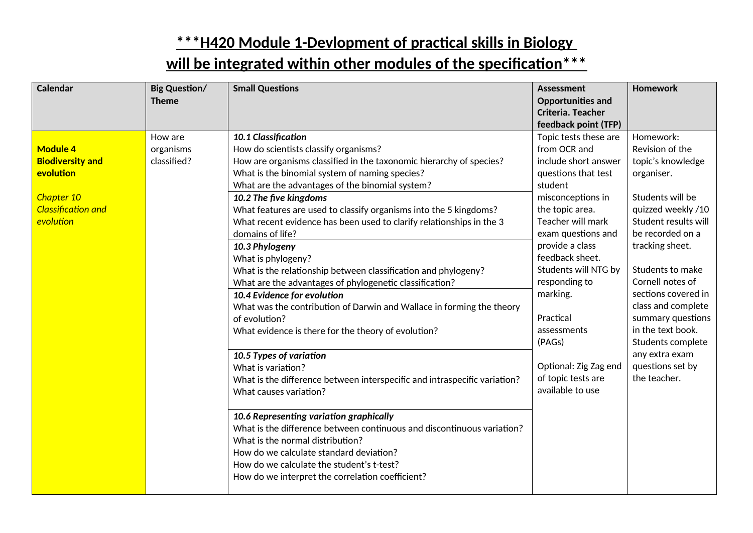| <b>Calendar</b>                                                                                                 | <b>Big Question/</b><br><b>Theme</b> | <b>Small Questions</b>                                                                                                                                                                                                                                                                                                                                                                                                                                                                                                                                                                                                                                                                                                                                                                                                                                                                                                                                                                                                                                                                                                                                                                                                                                | <b>Assessment</b><br><b>Opportunities and</b><br>Criteria. Teacher<br>feedback point (TFP)                                                                                                                                                                                                                                                                                             | <b>Homework</b>                                                                                                                                                                                                                                                                                                                                                                    |
|-----------------------------------------------------------------------------------------------------------------|--------------------------------------|-------------------------------------------------------------------------------------------------------------------------------------------------------------------------------------------------------------------------------------------------------------------------------------------------------------------------------------------------------------------------------------------------------------------------------------------------------------------------------------------------------------------------------------------------------------------------------------------------------------------------------------------------------------------------------------------------------------------------------------------------------------------------------------------------------------------------------------------------------------------------------------------------------------------------------------------------------------------------------------------------------------------------------------------------------------------------------------------------------------------------------------------------------------------------------------------------------------------------------------------------------|----------------------------------------------------------------------------------------------------------------------------------------------------------------------------------------------------------------------------------------------------------------------------------------------------------------------------------------------------------------------------------------|------------------------------------------------------------------------------------------------------------------------------------------------------------------------------------------------------------------------------------------------------------------------------------------------------------------------------------------------------------------------------------|
| <b>Module 4</b><br><b>Biodiversity and</b><br>evolution<br>Chapter 10<br><b>Classification and</b><br>evolution | How are<br>organisms<br>classified?  | 10.1 Classification<br>How do scientists classify organisms?<br>How are organisms classified in the taxonomic hierarchy of species?<br>What is the binomial system of naming species?<br>What are the advantages of the binomial system?<br>10.2 The five kingdoms<br>What features are used to classify organisms into the 5 kingdoms?<br>What recent evidence has been used to clarify relationships in the 3<br>domains of life?<br>10.3 Phylogeny<br>What is phylogeny?<br>What is the relationship between classification and phylogeny?<br>What are the advantages of phylogenetic classification?<br>10.4 Evidence for evolution<br>What was the contribution of Darwin and Wallace in forming the theory<br>of evolution?<br>What evidence is there for the theory of evolution?<br>10.5 Types of variation<br>What is variation?<br>What is the difference between interspecific and intraspecific variation?<br>What causes variation?<br>10.6 Representing variation graphically<br>What is the difference between continuous and discontinuous variation?<br>What is the normal distribution?<br>How do we calculate standard deviation?<br>How do we calculate the student's t-test?<br>How do we interpret the correlation coefficient? | Topic tests these are<br>from OCR and<br>include short answer<br>questions that test<br>student<br>misconceptions in<br>the topic area.<br>Teacher will mark<br>exam questions and<br>provide a class<br>feedback sheet.<br>Students will NTG by<br>responding to<br>marking.<br>Practical<br>assessments<br>(PAGs)<br>Optional: Zig Zag end<br>of topic tests are<br>available to use | Homework:<br>Revision of the<br>topic's knowledge<br>organiser.<br>Students will be<br>quizzed weekly /10<br>Student results will<br>be recorded on a<br>tracking sheet.<br>Students to make<br>Cornell notes of<br>sections covered in<br>class and complete<br>summary questions<br>in the text book.<br>Students complete<br>any extra exam<br>questions set by<br>the teacher. |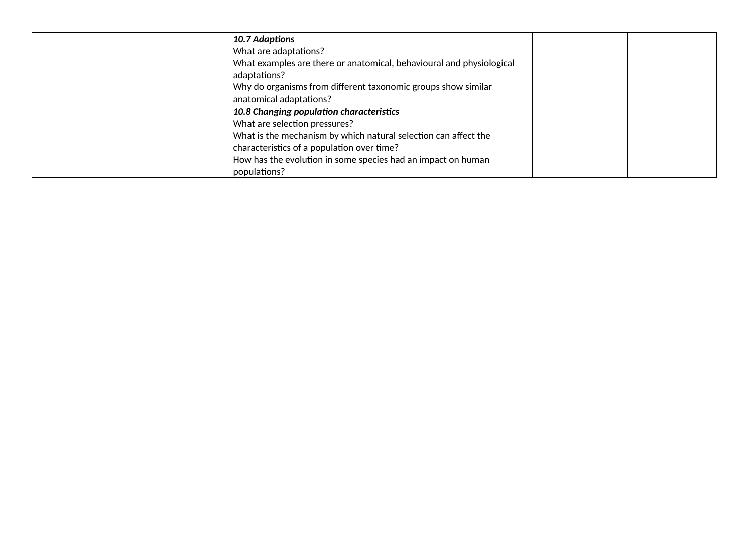| 10.7 Adaptions                                                       |  |
|----------------------------------------------------------------------|--|
| What are adaptations?                                                |  |
| What examples are there or anatomical, behavioural and physiological |  |
| adaptations?                                                         |  |
| Why do organisms from different taxonomic groups show similar        |  |
| anatomical adaptations?                                              |  |
| 10.8 Changing population characteristics                             |  |
| What are selection pressures?                                        |  |
| What is the mechanism by which natural selection can affect the      |  |
| characteristics of a population over time?                           |  |
| How has the evolution in some species had an impact on human         |  |
| populations?                                                         |  |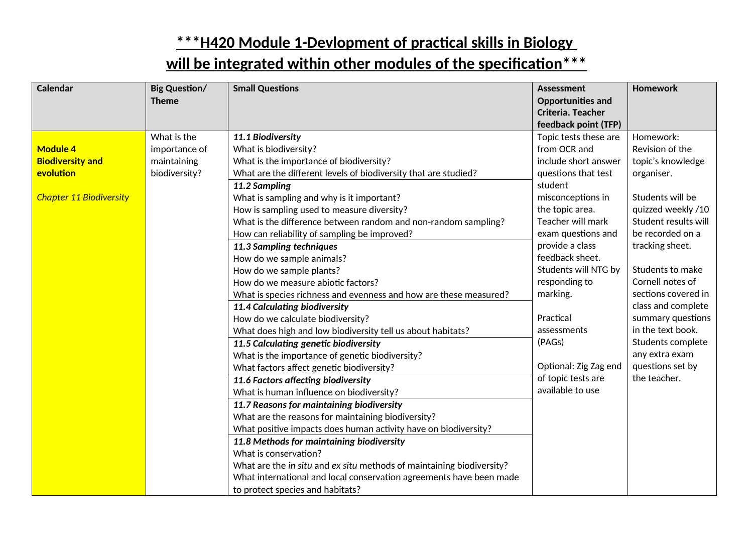| <b>Calendar</b>                | <b>Big Question/</b><br><b>Theme</b> | <b>Small Questions</b>                                                | <b>Assessment</b><br><b>Opportunities and</b><br>Criteria. Teacher | <b>Homework</b>      |
|--------------------------------|--------------------------------------|-----------------------------------------------------------------------|--------------------------------------------------------------------|----------------------|
|                                |                                      |                                                                       | feedback point (TFP)                                               |                      |
|                                | What is the                          | 11.1 Biodiversity                                                     | Topic tests these are                                              | Homework:            |
| <b>Module 4</b>                | importance of                        | What is biodiversity?                                                 | from OCR and                                                       | Revision of the      |
| <b>Biodiversity and</b>        | maintaining                          | What is the importance of biodiversity?                               | include short answer                                               | topic's knowledge    |
| evolution                      | biodiversity?                        | What are the different levels of biodiversity that are studied?       | questions that test                                                | organiser.           |
|                                |                                      | 11.2 Sampling                                                         | student                                                            |                      |
| <b>Chapter 11 Biodiversity</b> |                                      | What is sampling and why is it important?                             | misconceptions in                                                  | Students will be     |
|                                |                                      | How is sampling used to measure diversity?                            | the topic area.                                                    | quizzed weekly /10   |
|                                |                                      | What is the difference between random and non-random sampling?        | Teacher will mark                                                  | Student results will |
|                                |                                      | How can reliability of sampling be improved?                          | exam questions and                                                 | be recorded on a     |
|                                |                                      | 11.3 Sampling techniques                                              | provide a class                                                    | tracking sheet.      |
|                                |                                      | How do we sample animals?                                             | feedback sheet.                                                    |                      |
|                                |                                      | How do we sample plants?                                              | Students will NTG by                                               | Students to make     |
|                                |                                      | How do we measure abiotic factors?                                    | responding to                                                      | Cornell notes of     |
|                                |                                      | What is species richness and evenness and how are these measured?     | marking.                                                           | sections covered in  |
|                                |                                      | 11.4 Calculating biodiversity                                         |                                                                    | class and complete   |
|                                |                                      | How do we calculate biodiversity?                                     | Practical                                                          | summary questions    |
|                                |                                      | What does high and low biodiversity tell us about habitats?           | assessments                                                        | in the text book.    |
|                                |                                      | 11.5 Calculating genetic biodiversity                                 | (PAGs)                                                             | Students complete    |
|                                |                                      | What is the importance of genetic biodiversity?                       |                                                                    | any extra exam       |
|                                |                                      | What factors affect genetic biodiversity?                             | Optional: Zig Zag end                                              | questions set by     |
|                                |                                      | 11.6 Factors affecting biodiversity                                   | of topic tests are                                                 | the teacher.         |
|                                |                                      | What is human influence on biodiversity?                              | available to use                                                   |                      |
|                                |                                      | 11.7 Reasons for maintaining biodiversity                             |                                                                    |                      |
|                                |                                      | What are the reasons for maintaining biodiversity?                    |                                                                    |                      |
|                                |                                      | What positive impacts does human activity have on biodiversity?       |                                                                    |                      |
|                                |                                      | 11.8 Methods for maintaining biodiversity                             |                                                                    |                      |
|                                |                                      | What is conservation?                                                 |                                                                    |                      |
|                                |                                      | What are the in situ and ex situ methods of maintaining biodiversity? |                                                                    |                      |
|                                |                                      | What international and local conservation agreements have been made   |                                                                    |                      |
|                                |                                      | to protect species and habitats?                                      |                                                                    |                      |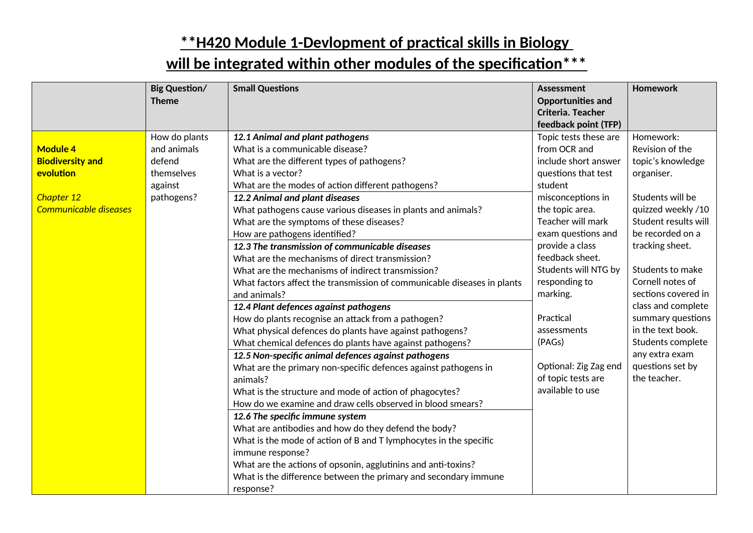|                         | <b>Big Question/</b><br><b>Theme</b> | <b>Small Questions</b>                                                  | <b>Assessment</b><br><b>Opportunities and</b> | <b>Homework</b>      |
|-------------------------|--------------------------------------|-------------------------------------------------------------------------|-----------------------------------------------|----------------------|
|                         |                                      |                                                                         | Criteria. Teacher                             |                      |
|                         |                                      |                                                                         | feedback point (TFP)                          |                      |
|                         | How do plants                        | 12.1 Animal and plant pathogens                                         | Topic tests these are                         | Homework:            |
| <b>Module 4</b>         | and animals                          | What is a communicable disease?                                         | from OCR and                                  | Revision of the      |
| <b>Biodiversity and</b> | defend                               | What are the different types of pathogens?                              | include short answer                          | topic's knowledge    |
| evolution               | themselves                           | What is a vector?                                                       | questions that test                           | organiser.           |
|                         | against                              | What are the modes of action different pathogens?                       | student                                       |                      |
| Chapter 12              | pathogens?                           | 12.2 Animal and plant diseases                                          | misconceptions in                             | Students will be     |
| Communicable diseases   |                                      | What pathogens cause various diseases in plants and animals?            | the topic area.                               | quizzed weekly /10   |
|                         |                                      | What are the symptoms of these diseases?                                | Teacher will mark                             | Student results will |
|                         |                                      | How are pathogens identified?                                           | exam questions and                            | be recorded on a     |
|                         |                                      | 12.3 The transmission of communicable diseases                          | provide a class                               | tracking sheet.      |
|                         |                                      | What are the mechanisms of direct transmission?                         | feedback sheet.                               |                      |
|                         |                                      | What are the mechanisms of indirect transmission?                       | Students will NTG by                          | Students to make     |
|                         |                                      | What factors affect the transmission of communicable diseases in plants | responding to                                 | Cornell notes of     |
|                         |                                      | and animals?                                                            | marking.                                      | sections covered in  |
|                         |                                      | 12.4 Plant defences against pathogens                                   |                                               | class and complete   |
|                         |                                      | How do plants recognise an attack from a pathogen?                      | Practical                                     | summary questions    |
|                         |                                      | What physical defences do plants have against pathogens?                | assessments                                   | in the text book.    |
|                         |                                      | What chemical defences do plants have against pathogens?                | (PAGs)                                        | Students complete    |
|                         |                                      | 12.5 Non-specific animal defences against pathogens                     |                                               | any extra exam       |
|                         |                                      | What are the primary non-specific defences against pathogens in         | Optional: Zig Zag end                         | questions set by     |
|                         |                                      | animals?                                                                | of topic tests are                            | the teacher.         |
|                         |                                      | What is the structure and mode of action of phagocytes?                 | available to use                              |                      |
|                         |                                      | How do we examine and draw cells observed in blood smears?              |                                               |                      |
|                         |                                      | 12.6 The specific immune system                                         |                                               |                      |
|                         |                                      | What are antibodies and how do they defend the body?                    |                                               |                      |
|                         |                                      | What is the mode of action of B and T lymphocytes in the specific       |                                               |                      |
|                         |                                      | immune response?                                                        |                                               |                      |
|                         |                                      | What are the actions of opsonin, agglutinins and anti-toxins?           |                                               |                      |
|                         |                                      | What is the difference between the primary and secondary immune         |                                               |                      |
|                         |                                      | response?                                                               |                                               |                      |